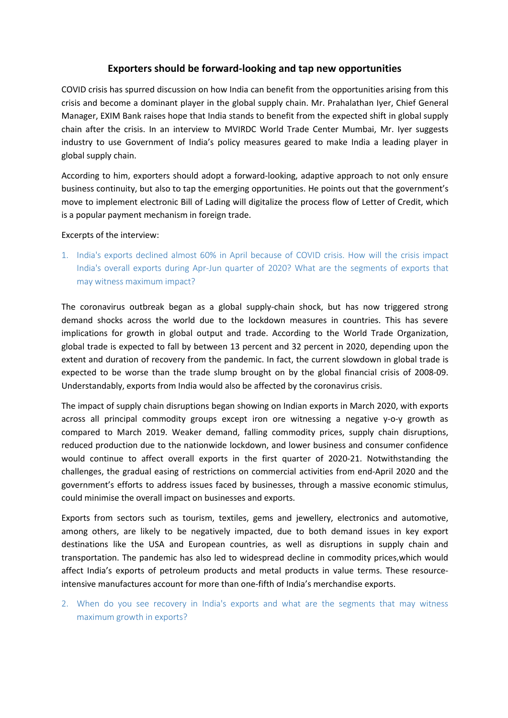## **Exporters should be forward-looking and tap new opportunities**

COVID crisis has spurred discussion on how India can benefit from the opportunities arising from this crisis and become a dominant player in the global supply chain. Mr. Prahalathan Iyer, Chief General Manager, EXIM Bank raises hope that India stands to benefit from the expected shift in global supply chain after the crisis. In an interview to MVIRDC World Trade Center Mumbai, Mr. Iyer suggests industry to use Government of India's policy measures geared to make India a leading player in global supply chain.

According to him, exporters should adopt a forward-looking, adaptive approach to not only ensure business continuity, but also to tap the emerging opportunities. He points out that the government's move to implement electronic Bill of Lading will digitalize the process flow of Letter of Credit, which is a popular payment mechanism in foreign trade.

#### Excerpts of the interview:

1. India's exports declined almost 60% in April because of COVID crisis. How will the crisis impact India's overall exports during Apr-Jun quarter of 2020? What are the segments of exports that may witness maximum impact?

The coronavirus outbreak began as a global supply-chain shock, but has now triggered strong demand shocks across the world due to the lockdown measures in countries. This has severe implications for growth in global output and trade. According to the World Trade Organization, global trade is expected to fall by between 13 percent and 32 percent in 2020, depending upon the extent and duration of recovery from the pandemic. In fact, the current slowdown in global trade is expected to be worse than the trade slump brought on by the global financial crisis of 2008-09. Understandably, exports from India would also be affected by the coronavirus crisis.

The impact of supply chain disruptions began showing on Indian exports in March 2020, with exports across all principal commodity groups except iron ore witnessing a negative y-o-y growth as compared to March 2019. Weaker demand, falling commodity prices, supply chain disruptions, reduced production due to the nationwide lockdown, and lower business and consumer confidence would continue to affect overall exports in the first quarter of 2020-21. Notwithstanding the challenges, the gradual easing of restrictions on commercial activities from end-April 2020 and the government's efforts to address issues faced by businesses, through a massive economic stimulus, could minimise the overall impact on businesses and exports.

Exports from sectors such as tourism, textiles, gems and jewellery, electronics and automotive, among others, are likely to be negatively impacted, due to both demand issues in key export destinations like the USA and European countries, as well as disruptions in supply chain and transportation. The pandemic has also led to widespread decline in commodity prices,which would affect India's exports of petroleum products and metal products in value terms. These resourceintensive manufactures account for more than one-fifth of India's merchandise exports.

2. When do you see recovery in India's exports and what are the segments that may witness maximum growth in exports?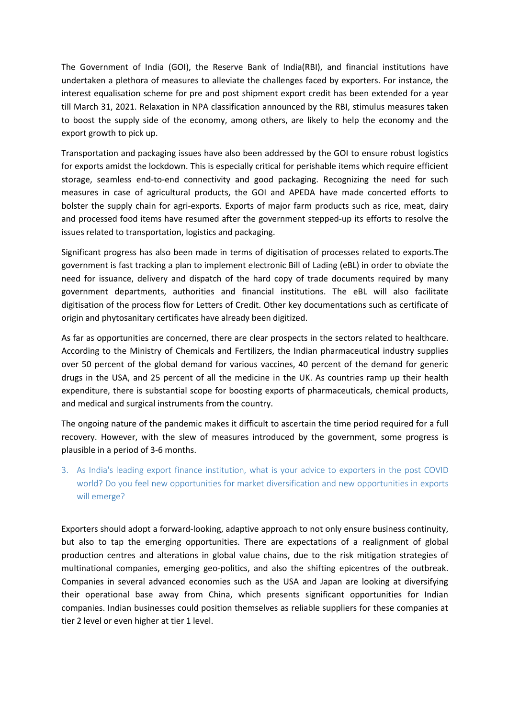The Government of India (GOI), the Reserve Bank of India(RBI), and financial institutions have undertaken a plethora of measures to alleviate the challenges faced by exporters. For instance, the interest equalisation scheme for pre and post shipment export credit has been extended for a year till March 31, 2021. Relaxation in NPA classification announced by the RBI, stimulus measures taken to boost the supply side of the economy, among others, are likely to help the economy and the export growth to pick up.

Transportation and packaging issues have also been addressed by the GOI to ensure robust logistics for exports amidst the lockdown. This is especially critical for perishable items which require efficient storage, seamless end-to-end connectivity and good packaging. Recognizing the need for such measures in case of agricultural products, the GOI and APEDA have made concerted efforts to bolster the supply chain for agri-exports. Exports of major farm products such as rice, meat, dairy and processed food items have resumed after the government stepped-up its efforts to resolve the issues related to transportation, logistics and packaging.

Significant progress has also been made in terms of digitisation of processes related to exports.The government is fast tracking a plan to implement electronic Bill of Lading (eBL) in order to obviate the need for issuance, delivery and dispatch of the hard copy of trade documents required by many government departments, authorities and financial institutions. The eBL will also facilitate digitisation of the process flow for Letters of Credit. Other key documentations such as certificate of origin and phytosanitary certificates have already been digitized.

As far as opportunities are concerned, there are clear prospects in the sectors related to healthcare. According to the Ministry of Chemicals and Fertilizers, the Indian pharmaceutical industry supplies over 50 percent of the global demand for various vaccines, 40 percent of the demand for generic drugs in the USA, and 25 percent of all the medicine in the UK. As countries ramp up their health expenditure, there is substantial scope for boosting exports of pharmaceuticals, chemical products, and medical and surgical instruments from the country.

The ongoing nature of the pandemic makes it difficult to ascertain the time period required for a full recovery. However, with the slew of measures introduced by the government, some progress is plausible in a period of 3-6 months.

3. As India's leading export finance institution, what is your advice to exporters in the post COVID world? Do you feel new opportunities for market diversification and new opportunities in exports will emerge?

Exporters should adopt a forward-looking, adaptive approach to not only ensure business continuity, but also to tap the emerging opportunities. There are expectations of a realignment of global production centres and alterations in global value chains, due to the risk mitigation strategies of multinational companies, emerging geo-politics, and also the shifting epicentres of the outbreak. Companies in several advanced economies such as the USA and Japan are looking at diversifying their operational base away from China, which presents significant opportunities for Indian companies. Indian businesses could position themselves as reliable suppliers for these companies at tier 2 level or even higher at tier 1 level.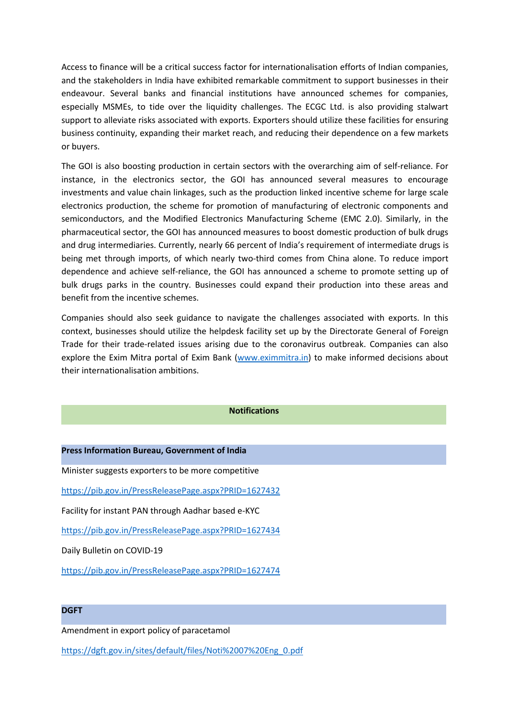Access to finance will be a critical success factor for internationalisation efforts of Indian companies, and the stakeholders in India have exhibited remarkable commitment to support businesses in their endeavour. Several banks and financial institutions have announced schemes for companies, especially MSMEs, to tide over the liquidity challenges. The ECGC Ltd. is also providing stalwart support to alleviate risks associated with exports. Exporters should utilize these facilities for ensuring business continuity, expanding their market reach, and reducing their dependence on a few markets or buyers.

The GOI is also boosting production in certain sectors with the overarching aim of self-reliance. For instance, in the electronics sector, the GOI has announced several measures to encourage investments and value chain linkages, such as the production linked incentive scheme for large scale electronics production, the scheme for promotion of manufacturing of electronic components and semiconductors, and the Modified Electronics Manufacturing Scheme (EMC 2.0). Similarly, in the pharmaceutical sector, the GOI has announced measures to boost domestic production of bulk drugs and drug intermediaries. Currently, nearly 66 percent of India's requirement of intermediate drugs is being met through imports, of which nearly two-third comes from China alone. To reduce import dependence and achieve self-reliance, the GOI has announced a scheme to promote setting up of bulk drugs parks in the country. Businesses could expand their production into these areas and benefit from the incentive schemes.

Companies should also seek guidance to navigate the challenges associated with exports. In this context, businesses should utilize the helpdesk facility set up by the Directorate General of Foreign Trade for their trade-related issues arising due to the coronavirus outbreak. Companies can also explore the Exim Mitra portal of Exim Bank [\(www.eximmitra.in](http://www.eximmitra.in)) to make informed decisions about their internationalisation ambitions.

### **Notifications**

### **Press Information Bureau, Government of India**

Minister suggests exporters to be more competitive

<https://pib.gov.in/PressReleasePage.aspx?PRID=1627432>

Facility for instant PAN through Aadhar based e-KYC

<https://pib.gov.in/PressReleasePage.aspx?PRID=1627434>

Daily Bulletin on COVID-19

<https://pib.gov.in/PressReleasePage.aspx?PRID=1627474>

#### **DGFT**

Amendment in export policy of paracetamol

[https://dgft.gov.in/sites/default/files/Noti%2007%20Eng\\_0.pdf](https://dgft.gov.in/sites/default/files/Noti%2007%20Eng_0.pdf)